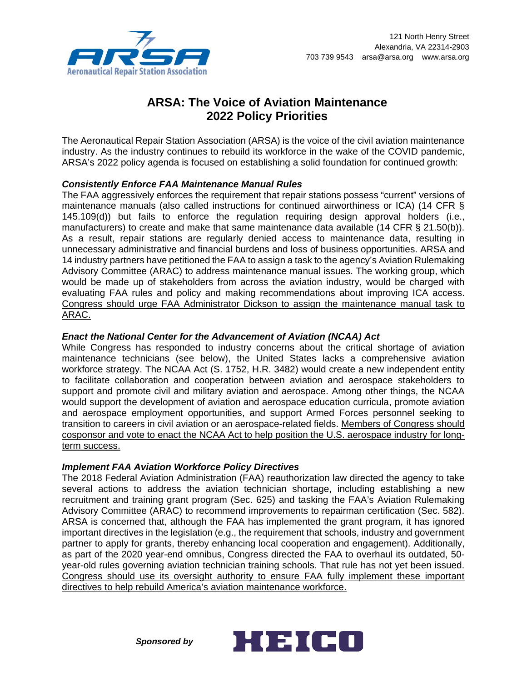

# **ARSA: The Voice of Aviation Maintenance 2022 Policy Priorities**

The Aeronautical Repair Station Association (ARSA) is the voice of the civil aviation maintenance industry. As the industry continues to rebuild its workforce in the wake of the COVID pandemic, ARSA's 2022 policy agenda is focused on establishing a solid foundation for continued growth:

## *Consistently Enforce FAA Maintenance Manual Rules*

The FAA aggressively enforces the requirement that repair stations possess "current" versions of maintenance manuals (also called instructions for continued airworthiness or ICA) (14 CFR § 145.109(d)) but fails to enforce the regulation requiring design approval holders (i.e., manufacturers) to create and make that same maintenance data available (14 CFR § 21.50(b)). As a result, repair stations are regularly denied access to maintenance data, resulting in unnecessary administrative and financial burdens and loss of business opportunities. ARSA and 14 industry partners have petitioned the FAA to assign a task to the agency's Aviation Rulemaking Advisory Committee (ARAC) to address maintenance manual issues. The working group, which would be made up of stakeholders from across the aviation industry, would be charged with evaluating FAA rules and policy and making recommendations about improving ICA access. Congress should urge FAA Administrator Dickson to assign the maintenance manual task to ARAC.

### *Enact the National Center for the Advancement of Aviation (NCAA) Act*

While Congress has responded to industry concerns about the critical shortage of aviation maintenance technicians (see below), the United States lacks a comprehensive aviation workforce strategy. The NCAA Act (S. 1752, H.R. 3482) would create a new independent entity to facilitate collaboration and cooperation between aviation and aerospace stakeholders to support and promote civil and military aviation and aerospace. Among other things, the NCAA would support the development of aviation and aerospace education curricula, promote aviation and aerospace employment opportunities, and support Armed Forces personnel seeking to transition to careers in civil aviation or an aerospace-related fields. Members of Congress should cosponsor and vote to enact the NCAA Act to help position the U.S. aerospace industry for longterm success.

## *Implement FAA Aviation Workforce Policy Directives*

The 2018 Federal Aviation Administration (FAA) reauthorization law directed the agency to take several actions to address the aviation technician shortage, including establishing a new recruitment and training grant program (Sec. 625) and tasking the FAA's Aviation Rulemaking Advisory Committee (ARAC) to recommend improvements to repairman certification (Sec. 582). ARSA is concerned that, although the FAA has implemented the grant program, it has ignored important directives in the legislation (e.g., the requirement that schools, industry and government partner to apply for grants, thereby enhancing local cooperation and engagement). Additionally, as part of the 2020 year-end omnibus, Congress directed the FAA to overhaul its outdated, 50 year-old rules governing aviation technician training schools. That rule has not yet been issued. Congress should use its oversight authority to ensure FAA fully implement these important directives to help rebuild America's aviation maintenance workforce.